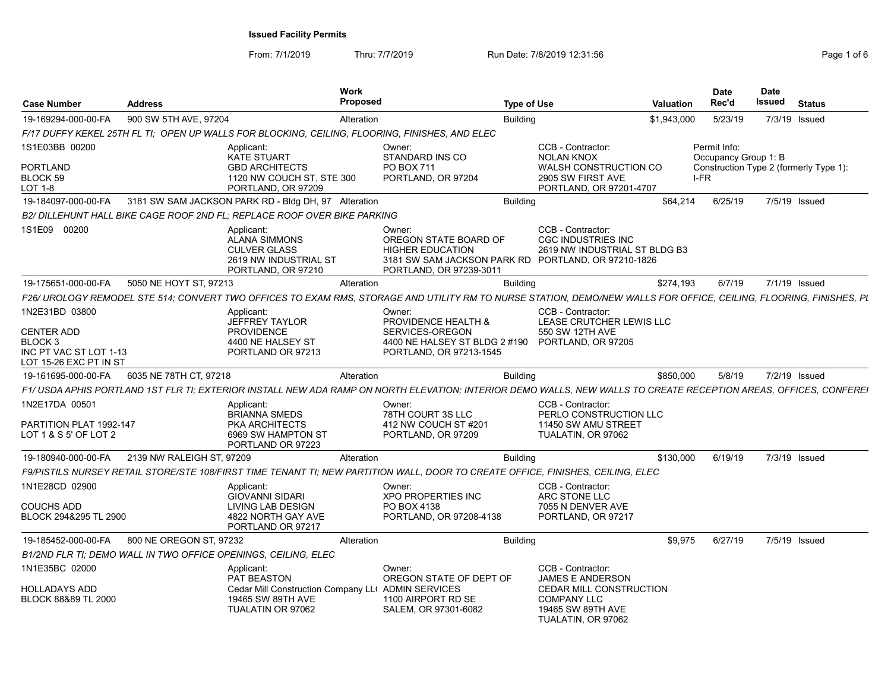| <b>Case Number</b>                                                               | <b>Address</b>            |                                                                                                          | Work<br>Proposed                                                                                                                                                   | <b>Type of Use</b>                               |                                                                                                                                        | <b>Valuation</b> | Date<br>Rec'd                                | <b>Date</b><br>Issued | <b>Status</b>                          |
|----------------------------------------------------------------------------------|---------------------------|----------------------------------------------------------------------------------------------------------|--------------------------------------------------------------------------------------------------------------------------------------------------------------------|--------------------------------------------------|----------------------------------------------------------------------------------------------------------------------------------------|------------------|----------------------------------------------|-----------------------|----------------------------------------|
| 19-169294-000-00-FA                                                              | 900 SW 5TH AVE, 97204     |                                                                                                          | Alteration                                                                                                                                                         | Building                                         |                                                                                                                                        | \$1,943,000      | 5/23/19                                      |                       | 7/3/19 Issued                          |
|                                                                                  |                           |                                                                                                          | F/17 DUFFY KEKEL 25TH FL TI: OPEN UP WALLS FOR BLOCKING, CEILING, FLOORING, FINISHES, AND ELEC                                                                     |                                                  |                                                                                                                                        |                  |                                              |                       |                                        |
| 1S1E03BB 00200<br><b>PORTLAND</b><br>BLOCK 59                                    |                           | Applicant:<br>KATE STUART<br><b>GBD ARCHITECTS</b><br>1120 NW COUCH ST, STE 300                          | Owner:<br>STANDARD INS CO<br><b>PO BOX 711</b><br>PORTLAND, OR 97204                                                                                               |                                                  | CCB - Contractor:<br><b>NOLAN KNOX</b><br>WALSH CONSTRUCTION CO<br>2905 SW FIRST AVE                                                   |                  | Permit Info:<br>Occupancy Group 1: B<br>I-FR |                       | Construction Type 2 (formerly Type 1): |
| LOT 1-8                                                                          |                           | PORTLAND, OR 97209                                                                                       |                                                                                                                                                                    |                                                  | PORTLAND, OR 97201-4707                                                                                                                |                  |                                              |                       |                                        |
| 19-184097-000-00-FA                                                              |                           | 3181 SW SAM JACKSON PARK RD - Bldg DH, 97 Alteration                                                     |                                                                                                                                                                    | Building                                         |                                                                                                                                        |                  | \$64,214 6/25/19                             |                       | 7/5/19 Issued                          |
|                                                                                  |                           | B2/ DILLEHUNT HALL BIKE CAGE ROOF 2ND FL: REPLACE ROOF OVER BIKE PARKING                                 |                                                                                                                                                                    |                                                  |                                                                                                                                        |                  |                                              |                       |                                        |
| 1S1E09 00200                                                                     |                           | Applicant:<br><b>ALANA SIMMONS</b><br><b>CULVER GLASS</b><br>2619 NW INDUSTRIAL ST<br>PORTLAND, OR 97210 | Owner:<br>OREGON STATE BOARD OF<br><b>HIGHER EDUCATION</b><br>PORTLAND, OR 97239-3011                                                                              |                                                  | CCB - Contractor:<br><b>CGC INDUSTRIES INC</b><br>2619 NW INDUSTRIAL ST BLDG B3<br>3181 SW SAM JACKSON PARK RD PORTLAND, OR 97210-1826 |                  |                                              |                       |                                        |
| 19-175651-000-00-FA 5050 NE HOYT ST, 97213                                       |                           |                                                                                                          | Alteration                                                                                                                                                         | Building                                         |                                                                                                                                        | \$274,193        | 6/7/19                                       |                       | 7/1/19 Issued                          |
|                                                                                  |                           |                                                                                                          | F26/ UROLOGY REMODEL STE 514; CONVERT TWO OFFICES TO EXAM RMS, STORAGE AND UTILITY RM TO NURSE STATION, DEMO/NEW WALLS FOR OFFICE, CEILING, FLOORING, FINISHES, PL |                                                  |                                                                                                                                        |                  |                                              |                       |                                        |
| 1N2E31BD 03800                                                                   |                           | Applicant:<br><b>JEFFREY TAYLOR</b>                                                                      | Owner:<br>PROVIDENCE HEALTH &                                                                                                                                      |                                                  | CCB - Contractor:<br>LEASE CRUTCHER LEWIS LLC                                                                                          |                  |                                              |                       |                                        |
| <b>CENTER ADD</b><br>BLOCK 3<br>INC PT VAC ST LOT 1-13<br>LOT 15-26 EXC PT IN ST |                           | <b>PROVIDENCE</b><br>4400 NE HALSEY ST<br>PORTLAND OR 97213                                              | SERVICES-OREGON<br>PORTLAND, OR 97213-1545                                                                                                                         | 4400 NE HALSEY ST BLDG 2 #190 PORTLAND, OR 97205 | 550 SW 12TH AVE                                                                                                                        |                  |                                              |                       |                                        |
| 19-161695-000-00-FA                                                              | 6035 NE 78TH CT, 97218    |                                                                                                          | Alteration                                                                                                                                                         | Building                                         |                                                                                                                                        | \$850.000        | 5/8/19                                       |                       | 7/2/19 Issued                          |
|                                                                                  |                           |                                                                                                          | F1/ USDA APHIS PORTLAND 1ST FLR TI; EXTERIOR INSTALL NEW ADA RAMP ON NORTH ELEVATION; INTERIOR DEMO WALLS, NEW WALLS TO CREATE RECEPTION AREAS, OFFICES, CONFEREI  |                                                  |                                                                                                                                        |                  |                                              |                       |                                        |
| 1N2E17DA 00501                                                                   |                           | Applicant:<br><b>BRIANNA SMEDS</b>                                                                       | Owner:<br>78TH COURT 3S LLC                                                                                                                                        |                                                  | CCB - Contractor:<br>PERLO CONSTRUCTION LLC                                                                                            |                  |                                              |                       |                                        |
| PARTITION PLAT 1992-147<br>LOT 1 & S 5' OF LOT 2                                 |                           | PKA ARCHITECTS<br>6969 SW HAMPTON ST<br>PORTLAND OR 97223                                                | 412 NW COUCH ST #201<br>PORTLAND, OR 97209                                                                                                                         |                                                  | 11450 SW AMU STREET<br>TUALATIN, OR 97062                                                                                              |                  |                                              |                       |                                        |
| 19-180940-000-00-FA                                                              | 2139 NW RALEIGH ST, 97209 |                                                                                                          | Alteration                                                                                                                                                         | Building                                         |                                                                                                                                        | \$130.000        | 6/19/19                                      |                       | 7/3/19 Issued                          |
|                                                                                  |                           |                                                                                                          | F9/PISTILS NURSEY RETAIL STORE/STE 108/FIRST TIME TENANT TI; NEW PARTITION WALL, DOOR TO CREATE OFFICE, FINISHES, CEILING, ELEC                                    |                                                  |                                                                                                                                        |                  |                                              |                       |                                        |
| 1N1E28CD 02900                                                                   |                           | Applicant:<br><b>GIOVANNI SIDARI</b>                                                                     | Owner:<br><b>XPO PROPERTIES INC</b>                                                                                                                                |                                                  | CCB - Contractor:<br>ARC STONE LLC                                                                                                     |                  |                                              |                       |                                        |
| COUCHS ADD<br>BLOCK 294&295 TL 2900                                              |                           | LIVING LAB DESIGN<br>4822 NORTH GAY AVE<br>PORTLAND OR 97217                                             | PO BOX 4138<br>PORTLAND, OR 97208-4138                                                                                                                             |                                                  | 7055 N DENVER AVE<br>PORTLAND, OR 97217                                                                                                |                  |                                              |                       |                                        |
| 19-185452-000-00-FA 800 NE OREGON ST, 97232                                      |                           |                                                                                                          | Alteration                                                                                                                                                         | Buildina                                         |                                                                                                                                        | \$9.975          | 6/27/19                                      |                       | 7/5/19 Issued                          |
|                                                                                  |                           | B1/2ND FLR TI: DEMO WALL IN TWO OFFICE OPENINGS, CEILING, ELEC                                           |                                                                                                                                                                    |                                                  |                                                                                                                                        |                  |                                              |                       |                                        |
| 1N1E35BC 02000                                                                   |                           | Applicant:<br>PAT BEASTON                                                                                | Owner:<br>OREGON STATE OF DEPT OF                                                                                                                                  |                                                  | CCB - Contractor:<br><b>JAMES E ANDERSON</b>                                                                                           |                  |                                              |                       |                                        |
| HOLLADAYS ADD<br>BLOCK 88&89 TL 2000                                             |                           | 19465 SW 89TH AVE<br>TUALATIN OR 97062                                                                   | Cedar Mill Construction Company LL( ADMIN SERVICES<br>1100 AIRPORT RD SE<br>SALEM, OR 97301-6082                                                                   |                                                  | CEDAR MILL CONSTRUCTION<br><b>COMPANY LLC</b><br>19465 SW 89TH AVE<br>TUALATIN, OR 97062                                               |                  |                                              |                       |                                        |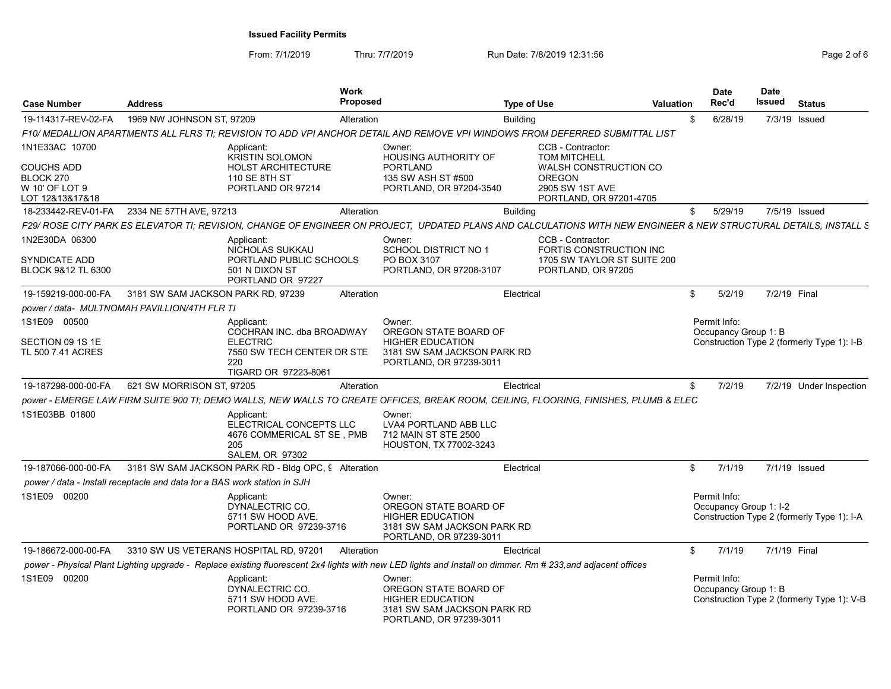| <b>Case Number</b>                                                                    | <b>Address</b>                                                           | Work<br>Proposed                                                                                                                                                  |                                                                                                                      | <b>Type of Use</b> |                                                                                                                                         | <b>Valuation</b> | Date<br>Rec'd                          | <b>Date</b><br>Issued | <b>Status</b>                              |
|---------------------------------------------------------------------------------------|--------------------------------------------------------------------------|-------------------------------------------------------------------------------------------------------------------------------------------------------------------|----------------------------------------------------------------------------------------------------------------------|--------------------|-----------------------------------------------------------------------------------------------------------------------------------------|------------------|----------------------------------------|-----------------------|--------------------------------------------|
| 19-114317-REV-02-FA                                                                   | 1969 NW JOHNSON ST, 97209                                                | Alteration                                                                                                                                                        |                                                                                                                      | <b>Building</b>    |                                                                                                                                         | \$.              | 6/28/19                                |                       | 7/3/19 Issued                              |
|                                                                                       |                                                                          | F10/ MEDALLION APARTMENTS ALL FLRS TI; REVISION TO ADD VPI ANCHOR DETAIL AND REMOVE VPI WINDOWS FROM DEFERRED SUBMITTAL LIST                                      |                                                                                                                      |                    |                                                                                                                                         |                  |                                        |                       |                                            |
| 1N1E33AC 10700<br><b>COUCHS ADD</b><br>BLOCK 270<br>W 10' OF LOT 9<br>LOT 12&13&17&18 |                                                                          | Applicant:<br><b>KRISTIN SOLOMON</b><br><b>HOLST ARCHITECTURE</b><br>110 SE 8TH ST<br>PORTLAND OR 97214                                                           | Owner:<br>HOUSING AUTHORITY OF<br><b>PORTLAND</b><br>135 SW ASH ST #500<br>PORTLAND, OR 97204-3540                   |                    | CCB - Contractor:<br><b>TOM MITCHELL</b><br><b>WALSH CONSTRUCTION CO</b><br><b>OREGON</b><br>2905 SW 1ST AVE<br>PORTLAND, OR 97201-4705 |                  |                                        |                       |                                            |
| 18-233442-REV-01-FA                                                                   | 2334 NE 57TH AVE, 97213                                                  | Alteration                                                                                                                                                        |                                                                                                                      | <b>Building</b>    |                                                                                                                                         | \$               | 5/29/19                                |                       | 7/5/19 Issued                              |
|                                                                                       |                                                                          | F29/ ROSE CITY PARK ES ELEVATOR TI; REVISION, CHANGE OF ENGINEER ON PROJECT, UPDATED PLANS AND CALCULATIONS WITH NEW ENGINEER & NEW STRUCTURAL DETAILS, INSTALL S |                                                                                                                      |                    |                                                                                                                                         |                  |                                        |                       |                                            |
| 1N2E30DA 06300<br><b>SYNDICATE ADD</b><br>BLOCK 9&12 TL 6300                          |                                                                          | Applicant:<br>NICHOLAS SUKKAU<br>PORTLAND PUBLIC SCHOOLS<br>501 N DIXON ST<br>PORTLAND OR 97227                                                                   | Owner:<br>SCHOOL DISTRICT NO 1<br>PO BOX 3107<br>PORTLAND, OR 97208-3107                                             |                    | CCB - Contractor:<br>FORTIS CONSTRUCTION INC<br>1705 SW TAYLOR ST SUITE 200<br>PORTLAND, OR 97205                                       |                  |                                        |                       |                                            |
| 19-159219-000-00-FA                                                                   | 3181 SW SAM JACKSON PARK RD, 97239                                       | Alteration                                                                                                                                                        |                                                                                                                      | Electrical         |                                                                                                                                         | \$               | 5/2/19                                 | 7/2/19 Final          |                                            |
|                                                                                       | power / data- MULTNOMAH PAVILLION/4TH FLR TI                             |                                                                                                                                                                   |                                                                                                                      |                    |                                                                                                                                         |                  |                                        |                       |                                            |
| 1S1E09 00500<br>SECTION 09 1S 1E<br>TL 500 7.41 ACRES                                 |                                                                          | Applicant:<br>COCHRAN INC. dba BROADWAY<br><b>ELECTRIC</b><br>7550 SW TECH CENTER DR STE<br>220<br>TIGARD OR 97223-8061                                           | Owner:<br>OREGON STATE BOARD OF<br><b>HIGHER EDUCATION</b><br>3181 SW SAM JACKSON PARK RD<br>PORTLAND, OR 97239-3011 |                    |                                                                                                                                         |                  | Permit Info:<br>Occupancy Group 1: B   |                       | Construction Type 2 (formerly Type 1): I-B |
| 19-187298-000-00-FA                                                                   | 621 SW MORRISON ST, 97205                                                | Alteration                                                                                                                                                        |                                                                                                                      | Electrical         |                                                                                                                                         | \$               | 7/2/19                                 |                       | 7/2/19 Under Inspection                    |
|                                                                                       |                                                                          | power - EMERGE LAW FIRM SUITE 900 TI; DEMO WALLS, NEW WALLS TO CREATE OFFICES, BREAK ROOM, CEILING, FLOORING, FINISHES, PLUMB & ELEC                              |                                                                                                                      |                    |                                                                                                                                         |                  |                                        |                       |                                            |
| 1S1E03BB 01800                                                                        |                                                                          | Applicant:<br>ELECTRICAL CONCEPTS LLC<br>4676 COMMERICAL ST SE, PMB<br>205<br><b>SALEM, OR 97302</b>                                                              | Owner:<br><b>LVA4 PORTLAND ABB LLC</b><br>712 MAIN ST STE 2500<br>HOUSTON, TX 77002-3243                             |                    |                                                                                                                                         |                  |                                        |                       |                                            |
| 19-187066-000-00-FA                                                                   |                                                                          | 3181 SW SAM JACKSON PARK RD - Bldg OPC, 9 Alteration                                                                                                              |                                                                                                                      | Electrical         |                                                                                                                                         | \$               | 7/1/19                                 |                       | 7/1/19 Issued                              |
|                                                                                       | power / data - Install receptacle and data for a BAS work station in SJH |                                                                                                                                                                   |                                                                                                                      |                    |                                                                                                                                         |                  |                                        |                       |                                            |
| 1S1E09 00200                                                                          |                                                                          | Applicant:<br>DYNALECTRIC CO.<br>5711 SW HOOD AVE.<br>PORTLAND OR 97239-3716                                                                                      | Owner:<br>OREGON STATE BOARD OF<br><b>HIGHER EDUCATION</b><br>3181 SW SAM JACKSON PARK RD<br>PORTLAND, OR 97239-3011 |                    |                                                                                                                                         |                  | Permit Info:<br>Occupancy Group 1: I-2 |                       | Construction Type 2 (formerly Type 1): I-A |
| 19-186672-000-00-FA                                                                   |                                                                          | 3310 SW US VETERANS HOSPITAL RD, 97201<br>Alteration                                                                                                              |                                                                                                                      | Electrical         |                                                                                                                                         | \$               | 7/1/19                                 | 7/1/19 Final          |                                            |
|                                                                                       |                                                                          | power - Physical Plant Lighting upgrade - Replace existing fluorescent 2x4 lights with new LED lights and Install on dimmer. Rm # 233, and adjacent offices       |                                                                                                                      |                    |                                                                                                                                         |                  |                                        |                       |                                            |
| 1S1E09 00200                                                                          |                                                                          | Applicant:<br>DYNALECTRIC CO.<br>5711 SW HOOD AVE.<br>PORTLAND OR 97239-3716                                                                                      | Owner:<br>OREGON STATE BOARD OF<br><b>HIGHER EDUCATION</b><br>3181 SW SAM JACKSON PARK RD<br>PORTLAND, OR 97239-3011 |                    |                                                                                                                                         |                  | Permit Info:<br>Occupancy Group 1: B   |                       | Construction Type 2 (formerly Type 1): V-B |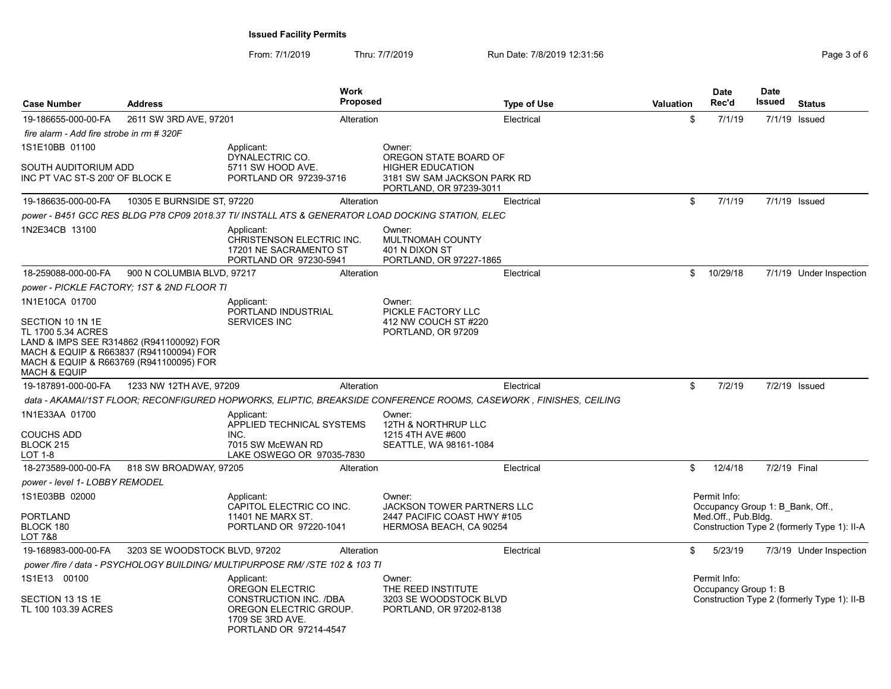| <b>Case Number</b>                                                | <b>Address</b>                                                                                                                 |                                                                                                                   | <b>Work</b><br><b>Proposed</b> |                                                                                                            | <b>Type of Use</b>                                                                                               | Valuation | <b>Date</b><br>Rec'd                             | <b>Date</b><br>Issued | <b>Status</b>                               |
|-------------------------------------------------------------------|--------------------------------------------------------------------------------------------------------------------------------|-------------------------------------------------------------------------------------------------------------------|--------------------------------|------------------------------------------------------------------------------------------------------------|------------------------------------------------------------------------------------------------------------------|-----------|--------------------------------------------------|-----------------------|---------------------------------------------|
| 19-186655-000-00-FA                                               | 2611 SW 3RD AVE, 97201                                                                                                         |                                                                                                                   | Alteration                     |                                                                                                            | Electrical                                                                                                       | \$        | 7/1/19                                           |                       | 7/1/19 Issued                               |
| fire alarm - Add fire strobe in rm # 320F                         |                                                                                                                                |                                                                                                                   |                                |                                                                                                            |                                                                                                                  |           |                                                  |                       |                                             |
| 1S1E10BB 01100                                                    |                                                                                                                                | Applicant:                                                                                                        |                                | Owner:                                                                                                     |                                                                                                                  |           |                                                  |                       |                                             |
| SOUTH AUDITORIUM ADD<br>INC PT VAC ST-S 200' OF BLOCK E           |                                                                                                                                | DYNALECTRIC CO.<br>5711 SW HOOD AVE.<br>PORTLAND OR 97239-3716                                                    |                                | OREGON STATE BOARD OF<br><b>HIGHER EDUCATION</b><br>3181 SW SAM JACKSON PARK RD<br>PORTLAND, OR 97239-3011 |                                                                                                                  |           |                                                  |                       |                                             |
| 19-186635-000-00-FA                                               | 10305 E BURNSIDE ST, 97220                                                                                                     |                                                                                                                   | Alteration                     |                                                                                                            | Electrical                                                                                                       | \$        | 7/1/19                                           |                       | 7/1/19 Issued                               |
|                                                                   |                                                                                                                                |                                                                                                                   |                                | power - B451 GCC RES BLDG P78 CP09 2018.37 TI/ INSTALL ATS & GENERATOR LOAD DOCKING STATION, ELEC          |                                                                                                                  |           |                                                  |                       |                                             |
| 1N2E34CB 13100                                                    |                                                                                                                                | Applicant:<br>CHRISTENSON ELECTRIC INC.<br>17201 NE SACRAMENTO ST<br>PORTLAND OR 97230-5941                       |                                | Owner:<br>MULTNOMAH COUNTY<br>401 N DIXON ST<br>PORTLAND, OR 97227-1865                                    |                                                                                                                  |           |                                                  |                       |                                             |
| 18-259088-000-00-FA                                               | 900 N COLUMBIA BLVD, 97217                                                                                                     |                                                                                                                   | Alteration                     |                                                                                                            | Electrical                                                                                                       | \$        | 10/29/18                                         |                       | 7/1/19 Under Inspection                     |
|                                                                   | power - PICKLE FACTORY: 1ST & 2ND FLOOR TI                                                                                     |                                                                                                                   |                                |                                                                                                            |                                                                                                                  |           |                                                  |                       |                                             |
| 1N1E10CA 01700                                                    |                                                                                                                                | Applicant:                                                                                                        |                                | Owner:                                                                                                     |                                                                                                                  |           |                                                  |                       |                                             |
| SECTION 10 1N 1E<br>TL 1700 5.34 ACRES<br><b>MACH &amp; EQUIP</b> | LAND & IMPS SEE R314862 (R941100092) FOR<br>MACH & EQUIP & R663837 (R941100094) FOR<br>MACH & EQUIP & R663769 (R941100095) FOR | PORTLAND INDUSTRIAL<br><b>SERVICES INC</b>                                                                        |                                | PICKLE FACTORY LLC<br>412 NW COUCH ST #220<br>PORTLAND, OR 97209                                           |                                                                                                                  |           |                                                  |                       |                                             |
| 19-187891-000-00-FA                                               | 1233 NW 12TH AVE, 97209                                                                                                        |                                                                                                                   | Alteration                     |                                                                                                            | Electrical                                                                                                       | \$        | 7/2/19                                           |                       | 7/2/19 Issued                               |
|                                                                   |                                                                                                                                |                                                                                                                   |                                |                                                                                                            | data - AKAMAI/1ST FLOOR; RECONFIGURED HOPWORKS, ELIPTIC, BREAKSIDE CONFERENCE ROOMS, CASEWORK, FINISHES, CEILING |           |                                                  |                       |                                             |
| 1N1E33AA 01700<br><b>COUCHS ADD</b><br>BLOCK 215<br>LOT 1-8       |                                                                                                                                | Applicant:<br>APPLIED TECHNICAL SYSTEMS<br>INC.<br>7015 SW McEWAN RD<br>LAKE OSWEGO OR 97035-7830                 |                                | Owner:<br>12TH & NORTHRUP LLC<br>1215 4TH AVE #600<br>SEATTLE, WA 98161-1084                               |                                                                                                                  |           |                                                  |                       |                                             |
| 18-273589-000-00-FA                                               | 818 SW BROADWAY, 97205                                                                                                         |                                                                                                                   | Alteration                     |                                                                                                            | Electrical                                                                                                       | \$        | 12/4/18                                          | 7/2/19 Final          |                                             |
| power - level 1- LOBBY REMODEL                                    |                                                                                                                                |                                                                                                                   |                                |                                                                                                            |                                                                                                                  |           |                                                  |                       |                                             |
| 1S1E03BB 02000                                                    |                                                                                                                                | Applicant:<br>CAPITOL ELECTRIC CO INC.                                                                            |                                | Owner:<br><b>JACKSON TOWER PARTNERS LLC</b>                                                                |                                                                                                                  |           | Permit Info:<br>Occupancy Group 1: B Bank, Off., |                       |                                             |
| <b>PORTLAND</b><br>BLOCK 180<br>LOT 7&8                           |                                                                                                                                | <b>11401 NE MARX ST.</b><br>PORTLAND OR 97220-1041                                                                |                                | 2447 PACIFIC COAST HWY #105<br>HERMOSA BEACH, CA 90254                                                     |                                                                                                                  |           | Med.Off., Pub.Bldg.                              |                       | Construction Type 2 (formerly Type 1): II-A |
| 19-168983-000-00-FA                                               | 3203 SE WOODSTOCK BLVD, 97202                                                                                                  |                                                                                                                   | Alteration                     |                                                                                                            | Electrical                                                                                                       | \$        | 5/23/19                                          |                       | 7/3/19 Under Inspection                     |
|                                                                   |                                                                                                                                | power /fire / data - PSYCHOLOGY BUILDING/ MULTIPURPOSE RM/ /STE 102 & 103 TI                                      |                                |                                                                                                            |                                                                                                                  |           |                                                  |                       |                                             |
| 1S1E13 00100                                                      |                                                                                                                                | Applicant:                                                                                                        |                                | Owner:                                                                                                     |                                                                                                                  |           | Permit Info:                                     |                       |                                             |
| SECTION 13 1S 1E<br>TL 100 103.39 ACRES                           |                                                                                                                                | OREGON ELECTRIC<br>CONSTRUCTION INC. /DBA<br>OREGON ELECTRIC GROUP.<br>1709 SE 3RD AVE.<br>PORTLAND OR 97214-4547 |                                | THE REED INSTITUTE<br>3203 SE WOODSTOCK BLVD<br>PORTLAND, OR 97202-8138                                    |                                                                                                                  |           | Occupancy Group 1: B                             |                       | Construction Type 2 (formerly Type 1): II-B |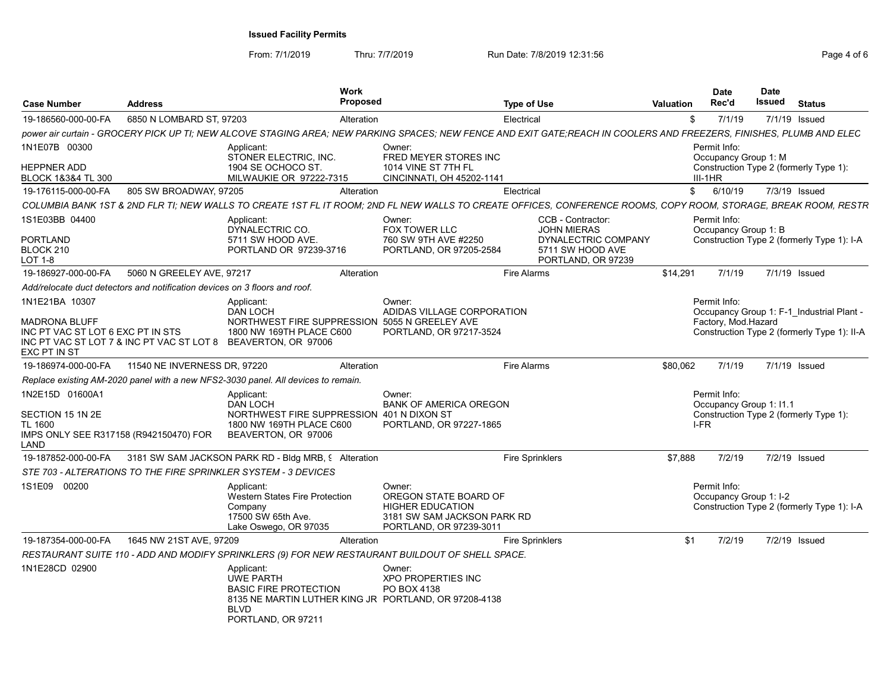| <b>Case Number</b>                                                            | <b>Address</b>               | <b>Work</b><br><b>Proposed</b>                                                                                                                                       |                                                                                                                      | <b>Type of Use</b>     |                                                               | <b>Valuation</b> | <b>Date</b><br>Rec'd                    | <b>Date</b><br>Issued | <b>Status</b>                               |
|-------------------------------------------------------------------------------|------------------------------|----------------------------------------------------------------------------------------------------------------------------------------------------------------------|----------------------------------------------------------------------------------------------------------------------|------------------------|---------------------------------------------------------------|------------------|-----------------------------------------|-----------------------|---------------------------------------------|
| 19-186560-000-00-FA                                                           | 6850 N LOMBARD ST, 97203     | Alteration                                                                                                                                                           |                                                                                                                      | Electrical             |                                                               | \$               | 7/1/19                                  |                       | 7/1/19 Issued                               |
|                                                                               |                              | power air curtain - GROCERY PICK UP TI: NEW ALCOVE STAGING AREA: NEW PARKING SPACES: NEW FENCE AND EXIT GATE:REACH IN COOLERS AND FREEZERS. FINISHES. PLUMB AND ELEC |                                                                                                                      |                        |                                                               |                  |                                         |                       |                                             |
| 1N1E07B 00300                                                                 |                              | Applicant:<br>STONER ELECTRIC, INC.                                                                                                                                  | Owner:<br>FRED MEYER STORES INC                                                                                      |                        |                                                               |                  | Permit Info:<br>Occupancy Group 1: M    |                       |                                             |
| <b>HEPPNER ADD</b><br>BLOCK 1&3&4 TL 300                                      |                              | 1904 SE OCHOCO ST.<br>MILWAUKIE OR 97222-7315                                                                                                                        | 1014 VINE ST 7TH FL<br>CINCINNATI, OH 45202-1141                                                                     |                        |                                                               |                  | $III-1HR$                               |                       | Construction Type 2 (formerly Type 1):      |
| 19-176115-000-00-FA                                                           | 805 SW BROADWAY, 97205       | Alteration                                                                                                                                                           |                                                                                                                      | Electrical             |                                                               | \$               | 6/10/19                                 |                       | 7/3/19 Issued                               |
|                                                                               |                              | COLUMBIA BANK 1ST & 2ND FLR TI; NEW WALLS TO CREATE 1ST FL IT ROOM; 2ND FL NEW WALLS TO CREATE OFFICES, CONFERENCE ROOMS, COPY ROOM, STORAGE, BREAK ROOM, RESTR      |                                                                                                                      |                        |                                                               |                  |                                         |                       |                                             |
| 1S1E03BB 04400                                                                |                              | Applicant:<br>DYNALECTRIC CO.                                                                                                                                        | Owner:<br>FOX TOWER LLC                                                                                              |                        | CCB - Contractor:<br><b>JOHN MIERAS</b>                       |                  | Permit Info:<br>Occupancy Group 1: B    |                       |                                             |
| <b>PORTLAND</b><br>BLOCK 210<br>LOT 1-8                                       |                              | 5711 SW HOOD AVE.<br>PORTLAND OR 97239-3716                                                                                                                          | 760 SW 9TH AVE #2250<br>PORTLAND, OR 97205-2584                                                                      |                        | DYNALECTRIC COMPANY<br>5711 SW HOOD AVE<br>PORTLAND, OR 97239 |                  |                                         |                       | Construction Type 2 (formerly Type 1): I-A  |
| 19-186927-000-00-FA                                                           | 5060 N GREELEY AVE, 97217    | Alteration                                                                                                                                                           |                                                                                                                      | <b>Fire Alarms</b>     |                                                               | \$14,291         | 7/1/19                                  |                       | 7/1/19 Issued                               |
| Add/relocate duct detectors and notification devices on 3 floors and roof.    |                              |                                                                                                                                                                      |                                                                                                                      |                        |                                                               |                  |                                         |                       |                                             |
| 1N1E21BA 10307                                                                |                              | Applicant:<br><b>DAN LOCH</b>                                                                                                                                        | Owner:<br>ADIDAS VILLAGE CORPORATION                                                                                 |                        |                                                               |                  | Permit Info:                            |                       | Occupancy Group 1: F-1 Industrial Plant -   |
| MADRONA BLUFF<br>INC PT VAC ST LOT 6 EXC PT IN STS<br>EXC PT IN ST            |                              | NORTHWEST FIRE SUPPRESSION 5055 N GREELEY AVE<br>1800 NW 169TH PLACE C600<br>INC PT VAC ST LOT 7 & INC PT VAC ST LOT 8 BEAVERTON, OR 97006                           | PORTLAND, OR 97217-3524                                                                                              |                        |                                                               |                  | Factory, Mod.Hazard                     |                       | Construction Type 2 (formerly Type 1): II-A |
| 19-186974-000-00-FA                                                           | 11540 NE INVERNESS DR, 97220 | Alteration                                                                                                                                                           |                                                                                                                      | <b>Fire Alarms</b>     |                                                               | \$80,062         | 7/1/19                                  |                       | 7/1/19 Issued                               |
|                                                                               |                              | Replace existing AM-2020 panel with a new NFS2-3030 panel. All devices to remain.                                                                                    |                                                                                                                      |                        |                                                               |                  |                                         |                       |                                             |
| 1N2E15D 01600A1                                                               |                              | Applicant:<br><b>DAN LOCH</b>                                                                                                                                        | Owner:<br><b>BANK OF AMERICA OREGON</b>                                                                              |                        |                                                               |                  | Permit Info:<br>Occupancy Group 1: 11.1 |                       |                                             |
| SECTION 15 1N 2E<br>TL 1600<br>IMPS ONLY SEE R317158 (R942150470) FOR<br>LAND |                              | NORTHWEST FIRE SUPPRESSION 401 N DIXON ST<br>1800 NW 169TH PLACE C600<br>BEAVERTON, OR 97006                                                                         | PORTLAND, OR 97227-1865                                                                                              |                        |                                                               |                  | I-FR                                    |                       | Construction Type 2 (formerly Type 1):      |
| 19-187852-000-00-FA                                                           |                              | 3181 SW SAM JACKSON PARK RD - Bldg MRB, 9 Alteration                                                                                                                 |                                                                                                                      | <b>Fire Sprinklers</b> |                                                               | \$7,888          | 7/2/19                                  |                       | 7/2/19 Issued                               |
|                                                                               |                              | STE 703 - ALTERATIONS TO THE FIRE SPRINKLER SYSTEM - 3 DEVICES                                                                                                       |                                                                                                                      |                        |                                                               |                  |                                         |                       |                                             |
| 1S1E09 00200                                                                  |                              | Applicant:<br><b>Western States Fire Protection</b><br>Company<br>17500 SW 65th Ave.<br>Lake Oswego, OR 97035                                                        | Owner:<br>OREGON STATE BOARD OF<br><b>HIGHER EDUCATION</b><br>3181 SW SAM JACKSON PARK RD<br>PORTLAND, OR 97239-3011 |                        |                                                               |                  | Permit Info:<br>Occupancy Group 1: I-2  |                       | Construction Type 2 (formerly Type 1): I-A  |
| 19-187354-000-00-FA                                                           | 1645 NW 21ST AVE, 97209      | Alteration                                                                                                                                                           |                                                                                                                      | <b>Fire Sprinklers</b> |                                                               | \$1              | 7/2/19                                  |                       | 7/2/19 Issued                               |
|                                                                               |                              | RESTAURANT SUITE 110 - ADD AND MODIFY SPRINKLERS (9) FOR NEW RESTAURANT BUILDOUT OF SHELL SPACE.                                                                     |                                                                                                                      |                        |                                                               |                  |                                         |                       |                                             |
| 1N1E28CD 02900                                                                |                              | Applicant:<br><b>UWE PARTH</b><br><b>BASIC FIRE PROTECTION</b><br>8135 NE MARTIN LUTHER KING JR PORTLAND, OR 97208-4138<br><b>BLVD</b><br>PORTLAND, OR 97211         | Owner:<br>XPO PROPERTIES INC<br>PO BOX 4138                                                                          |                        |                                                               |                  |                                         |                       |                                             |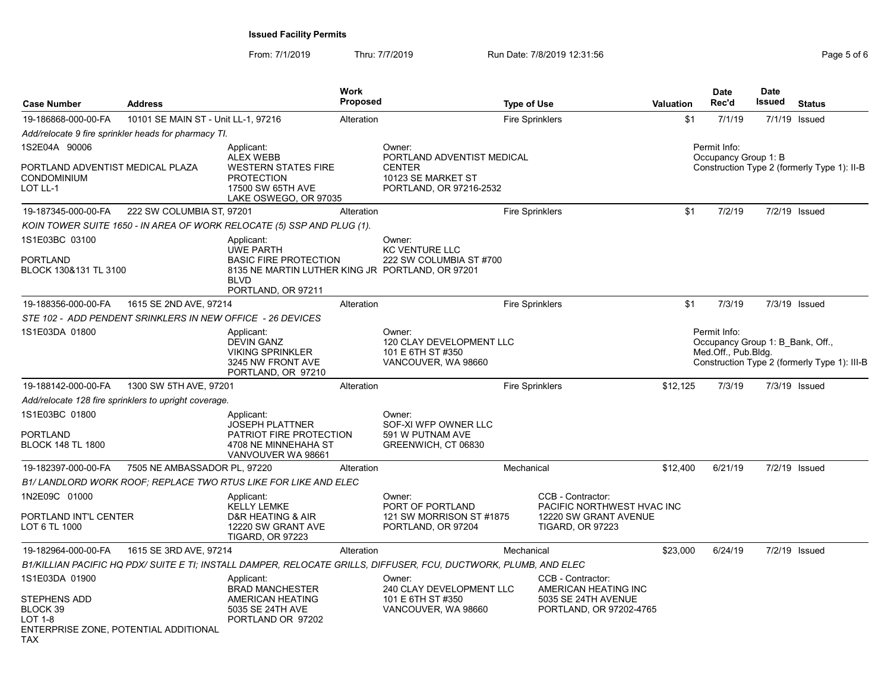| <b>Case Number</b>                                                                  | <b>Address</b>                                             | <b>Work</b><br><b>Proposed</b>                                                                                                                          |                                                                                                        | <b>Type of Use</b> |                                                                                                     | Valuation | <b>Date</b><br>Rec'd                                                    | <b>Date</b><br>Issued | <b>Status</b>                                |
|-------------------------------------------------------------------------------------|------------------------------------------------------------|---------------------------------------------------------------------------------------------------------------------------------------------------------|--------------------------------------------------------------------------------------------------------|--------------------|-----------------------------------------------------------------------------------------------------|-----------|-------------------------------------------------------------------------|-----------------------|----------------------------------------------|
| 19-186868-000-00-FA                                                                 | 10101 SE MAIN ST - Unit LL-1, 97216                        | Alteration                                                                                                                                              |                                                                                                        |                    | <b>Fire Sprinklers</b>                                                                              | \$1       | 7/1/19                                                                  |                       | 7/1/19 Issued                                |
|                                                                                     | Add/relocate 9 fire sprinkler heads for pharmacy TI.       |                                                                                                                                                         |                                                                                                        |                    |                                                                                                     |           |                                                                         |                       |                                              |
| 1S2E04A 90006<br>PORTLAND ADVENTIST MEDICAL PLAZA<br><b>CONDOMINIUM</b><br>LOT LL-1 |                                                            | Applicant:<br><b>ALEX WEBB</b><br><b>WESTERN STATES FIRE</b><br><b>PROTECTION</b><br>17500 SW 65TH AVE<br>LAKE OSWEGO, OR 97035                         | Owner:<br>PORTLAND ADVENTIST MEDICAL<br><b>CENTER</b><br>10123 SE MARKET ST<br>PORTLAND, OR 97216-2532 |                    |                                                                                                     |           | Permit Info:<br>Occupancy Group 1: B                                    |                       | Construction Type 2 (formerly Type 1): II-B  |
| 19-187345-000-00-FA                                                                 | 222 SW COLUMBIA ST, 97201                                  | Alteration                                                                                                                                              |                                                                                                        |                    | <b>Fire Sprinklers</b>                                                                              | \$1       | 7/2/19                                                                  |                       | 7/2/19 Issued                                |
|                                                                                     |                                                            | KOIN TOWER SUITE 1650 - IN AREA OF WORK RELOCATE (5) SSP AND PLUG (1).                                                                                  |                                                                                                        |                    |                                                                                                     |           |                                                                         |                       |                                              |
| 1S1E03BC 03100<br><b>PORTLAND</b><br>BLOCK 130&131 TL 3100                          |                                                            | Applicant:<br><b>UWE PARTH</b><br><b>BASIC FIRE PROTECTION</b><br>8135 NE MARTIN LUTHER KING JR PORTLAND, OR 97201<br><b>BLVD</b><br>PORTLAND, OR 97211 | Owner:<br><b>KC VENTURE LLC</b><br>222 SW COLUMBIA ST #700                                             |                    |                                                                                                     |           |                                                                         |                       |                                              |
| 19-188356-000-00-FA                                                                 | 1615 SE 2ND AVE, 97214                                     | Alteration                                                                                                                                              |                                                                                                        |                    | <b>Fire Sprinklers</b>                                                                              | \$1       | 7/3/19                                                                  |                       | 7/3/19 Issued                                |
|                                                                                     | STE 102 - ADD PENDENT SRINKLERS IN NEW OFFICE - 26 DEVICES |                                                                                                                                                         |                                                                                                        |                    |                                                                                                     |           |                                                                         |                       |                                              |
| 1S1E03DA 01800                                                                      |                                                            | Applicant:<br><b>DEVIN GANZ</b><br><b>VIKING SPRINKLER</b><br>3245 NW FRONT AVE<br>PORTLAND, OR 97210                                                   | Owner:<br>120 CLAY DEVELOPMENT LLC<br>101 E 6TH ST #350<br>VANCOUVER, WA 98660                         |                    |                                                                                                     |           | Permit Info:<br>Occupancy Group 1: B Bank, Off.,<br>Med.Off., Pub.Bldg. |                       | Construction Type 2 (formerly Type 1): III-B |
| 19-188142-000-00-FA                                                                 | 1300 SW 5TH AVE, 97201                                     | Alteration                                                                                                                                              |                                                                                                        |                    | <b>Fire Sprinklers</b>                                                                              | \$12,125  | 7/3/19                                                                  |                       | 7/3/19 Issued                                |
|                                                                                     | Add/relocate 128 fire sprinklers to upright coverage.      |                                                                                                                                                         |                                                                                                        |                    |                                                                                                     |           |                                                                         |                       |                                              |
| 1S1E03BC 01800<br><b>PORTLAND</b><br><b>BLOCK 148 TL 1800</b>                       |                                                            | Applicant:<br><b>JOSEPH PLATTNER</b><br>PATRIOT FIRE PROTECTION<br>4708 NE MINNEHAHA ST<br>VANVOUVER WA 98661                                           | Owner:<br>SOF-XI WFP OWNER LLC<br>591 W PUTNAM AVE<br>GREENWICH, CT 06830                              |                    |                                                                                                     |           |                                                                         |                       |                                              |
| 19-182397-000-00-FA                                                                 | 7505 NE AMBASSADOR PL, 97220                               | Alteration                                                                                                                                              |                                                                                                        | Mechanical         |                                                                                                     | \$12,400  | 6/21/19                                                                 |                       | 7/2/19 Issued                                |
|                                                                                     |                                                            | B1/ LANDLORD WORK ROOF; REPLACE TWO RTUS LIKE FOR LIKE AND ELEC                                                                                         |                                                                                                        |                    |                                                                                                     |           |                                                                         |                       |                                              |
| 1N2E09C 01000<br>PORTLAND INT'L CENTER<br>LOT 6 TL 1000                             |                                                            | Applicant:<br><b>KELLY LEMKE</b><br>D&R HEATING & AIR<br>12220 SW GRANT AVE<br><b>TIGARD, OR 97223</b>                                                  | Owner:<br>PORT OF PORTLAND<br>121 SW MORRISON ST #1875<br>PORTLAND, OR 97204                           |                    | CCB - Contractor:<br>PACIFIC NORTHWEST HVAC INC<br>12220 SW GRANT AVENUE<br><b>TIGARD, OR 97223</b> |           |                                                                         |                       |                                              |
| 19-182964-000-00-FA                                                                 | 1615 SE 3RD AVE, 97214                                     | Alteration                                                                                                                                              |                                                                                                        | Mechanical         |                                                                                                     | \$23,000  | 6/24/19                                                                 |                       | 7/2/19 Issued                                |
|                                                                                     |                                                            | B1/KILLIAN PACIFIC HQ PDX/ SUITE E TI; INSTALL DAMPER, RELOCATE GRILLS, DIFFUSER, FCU, DUCTWORK, PLUMB, AND ELEC                                        |                                                                                                        |                    |                                                                                                     |           |                                                                         |                       |                                              |
| 1S1E03DA 01900<br><b>STEPHENS ADD</b>                                               |                                                            | Applicant:<br><b>BRAD MANCHESTER</b>                                                                                                                    | Owner:<br>240 CLAY DEVELOPMENT LLC<br>101 E 6TH ST #350                                                |                    | CCB - Contractor:<br>AMERICAN HEATING INC                                                           |           |                                                                         |                       |                                              |
| BLOCK 39<br>LOT 1-8<br>TAX                                                          | ENTERPRISE ZONE, POTENTIAL ADDITIONAL                      | AMERICAN HEATING<br>5035 SE 24TH AVE<br>PORTLAND OR 97202                                                                                               | VANCOUVER, WA 98660                                                                                    |                    | 5035 SE 24TH AVENUE<br>PORTLAND, OR 97202-4765                                                      |           |                                                                         |                       |                                              |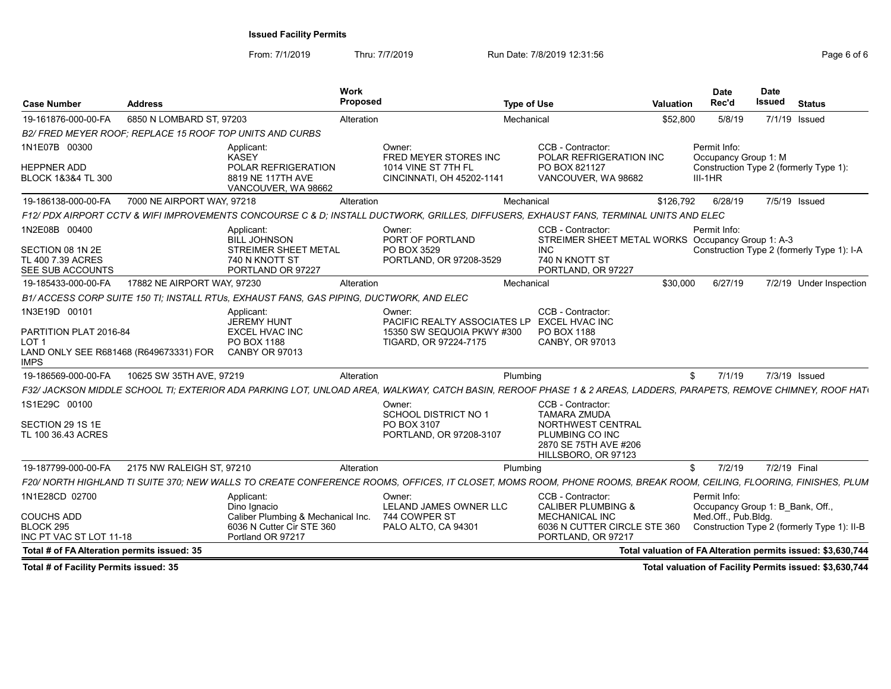| Case Number                                                              | <b>Address</b>                                                                                                                                                    | Work<br>Proposed                                                          | <b>Type of Use</b>                                                                                          | Date<br>Rec'd<br>Valuation | <b>Date</b><br>Issued<br>Status                                                                                                     |
|--------------------------------------------------------------------------|-------------------------------------------------------------------------------------------------------------------------------------------------------------------|---------------------------------------------------------------------------|-------------------------------------------------------------------------------------------------------------|----------------------------|-------------------------------------------------------------------------------------------------------------------------------------|
| 19-161876-000-00-FA                                                      | 6850 N LOMBARD ST, 97203                                                                                                                                          | Alteration                                                                | Mechanical                                                                                                  | \$52,800                   | 5/8/19<br>7/1/19 Issued                                                                                                             |
|                                                                          | B2/ FRED MEYER ROOF; REPLACE 15 ROOF TOP UNITS AND CURBS                                                                                                          |                                                                           |                                                                                                             |                            |                                                                                                                                     |
| 1N1E07B 00300                                                            | Applicant:<br>KASEY                                                                                                                                               | Owner:<br>FRED MEYER STORES INC                                           | CCB - Contractor:<br>POLAR REFRIGERATION INC                                                                | Permit Info:               | Occupancy Group 1: M                                                                                                                |
| HEPPNER ADD<br><b>BLOCK 1&amp;3&amp;4 TL 300</b>                         | POLAR REFRIGERATION<br>8819 NE 117TH AVE<br>VANCOUVER, WA 98662                                                                                                   | 1014 VINE ST 7TH FL<br>CINCINNATI, OH 45202-1141                          | PO BOX 821127<br>VANCOUVER, WA 98682                                                                        | $III-1HR$                  | Construction Type 2 (formerly Type 1):                                                                                              |
| 19-186138-000-00-FA                                                      | 7000 NE AIRPORT WAY, 97218                                                                                                                                        | Alteration                                                                | Mechanical                                                                                                  | \$126,792                  | 6/28/19<br>7/5/19 Issued                                                                                                            |
|                                                                          | F12/ PDX AIRPORT CCTV & WIFI IMPROVEMENTS CONCOURSE C & D; INSTALL DUCTWORK, GRILLES, DIFFUSERS, EXHAUST FANS, TERMINAL UNITS AND ELEC                            |                                                                           |                                                                                                             |                            |                                                                                                                                     |
| 1N2E08B 00400<br>SECTION 08 1N 2E<br>TL 400 7.39 ACRES                   | Applicant:<br><b>BILL JOHNSON</b><br>STREIMER SHEET METAL<br>740 N KNOTT ST                                                                                       | Owner:<br>PORT OF PORTLAND<br>PO BOX 3529<br>PORTLAND, OR 97208-3529      | CCB - Contractor:<br>STREIMER SHEET METAL WORKS Occupancy Group 1: A-3<br>INC.<br>740 N KNOTT ST            | Permit Info:               | Construction Type 2 (formerly Type 1): I-A                                                                                          |
| SEE SUB ACCOUNTS                                                         | PORTLAND OR 97227                                                                                                                                                 |                                                                           | PORTLAND, OR 97227                                                                                          |                            |                                                                                                                                     |
| 19-185433-000-00-FA                                                      | 17882 NE AIRPORT WAY, 97230                                                                                                                                       | Alteration                                                                | Mechanical                                                                                                  | \$30,000                   | 6/27/19<br>7/2/19 Under Inspection                                                                                                  |
|                                                                          | B1/ ACCESS CORP SUITE 150 TI; INSTALL RTUs, EXHAUST FANS, GAS PIPING, DUCTWORK, AND ELEC                                                                          |                                                                           |                                                                                                             |                            |                                                                                                                                     |
| 1N3E19D 00101<br>PARTITION PLAT 2016-84<br>OT <sub>1</sub><br><b>MPS</b> | Applicant:<br>JEREMY HUNT<br><b>EXCEL HVAC INC</b><br>PO BOX 1188<br>LAND ONLY SEE R681468 (R649673331) FOR CANBY OR 97013                                        | Owner:<br>15350 SW SEQUOIA PKWY #300 PO BOX 1188<br>TIGARD, OR 97224-7175 | CCB - Contractor:<br>PACIFIC REALTY ASSOCIATES LP EXCEL HVAC INC<br>CANBY, OR 97013                         |                            |                                                                                                                                     |
| 19-186569-000-00-FA                                                      | 10625 SW 35TH AVE, 97219                                                                                                                                          | Alteration                                                                | Plumbing                                                                                                    |                            | 7/1/19<br>7/3/19 Issued                                                                                                             |
|                                                                          | F32/ JACKSON MIDDLE SCHOOL TI; EXTERIOR ADA PARKING LOT, UNLOAD AREA, WALKWAY, CATCH BASIN, REROOF PHASE 1 & 2 AREAS, LADDERS, PARAPETS, REMOVE CHIMNEY, ROOF HAT |                                                                           |                                                                                                             |                            |                                                                                                                                     |
| 1S1E29C 00100                                                            |                                                                                                                                                                   | Owner:                                                                    | CCB - Contractor:                                                                                           |                            |                                                                                                                                     |
| SECTION 29 1S 1E<br>TL 100 36.43 ACRES                                   |                                                                                                                                                                   | SCHOOL DISTRICT NO 1<br>PO BOX 3107<br>PORTLAND, OR 97208-3107            | <b>TAMARA ZMUDA</b><br>NORTHWEST CENTRAL<br>PLUMBING CO INC<br>2870 SE 75TH AVE #206<br>HILLSBORO, OR 97123 |                            |                                                                                                                                     |
|                                                                          | 19-187799-000-00-FA 2175 NW RALEIGH ST, 97210                                                                                                                     | Alteration                                                                | Plumbing                                                                                                    |                            | 7/2/19  7/2/19  Final                                                                                                               |
|                                                                          | F20/ NORTH HIGHLAND TI SUITE 370; NEW WALLS TO CREATE CONFERENCE ROOMS, OFFICES, IT CLOSET, MOMS ROOM, PHONE ROOMS, BREAK ROOM, CEILING, FLOORING, FINISHES, PLUM |                                                                           |                                                                                                             |                            |                                                                                                                                     |
| 1N1E28CD 02700                                                           | Applicant:                                                                                                                                                        | Owner:                                                                    | CCB - Contractor:                                                                                           | Permit Info:               |                                                                                                                                     |
| <b>COUCHS ADD</b><br>BLOCK 295<br>INC PT VAC ST LOT 11-18                | Dino Ignacio<br>Caliber Plumbing & Mechanical Inc.<br>6036 N Cutter Cir STE 360<br>Portland OR 97217                                                              | LELAND JAMES OWNER LLC<br>744 COWPER ST<br>PALO ALTO, CA 94301            | <b>CALIBER PLUMBING 8</b><br>MECHANICAL INC<br>PORTLAND, OR 97217                                           |                            | Occupancy Group 1: B_Bank, Off.,<br>Med.Off., Pub.Blda.<br>6036 N CUTTER CIRCLE STE 360 Construction Type 2 (formerly Type 1): II-B |
| Total # of FA Alteration permits issued: 35                              |                                                                                                                                                                   |                                                                           |                                                                                                             |                            | Total valuation of FA Alteration permits issued: \$3,630,744                                                                        |
|                                                                          |                                                                                                                                                                   |                                                                           |                                                                                                             |                            |                                                                                                                                     |
| Total # of Facility Permits issued: 35                                   |                                                                                                                                                                   |                                                                           |                                                                                                             |                            | Total valuation of Facility Permits issued: \$3,630,744                                                                             |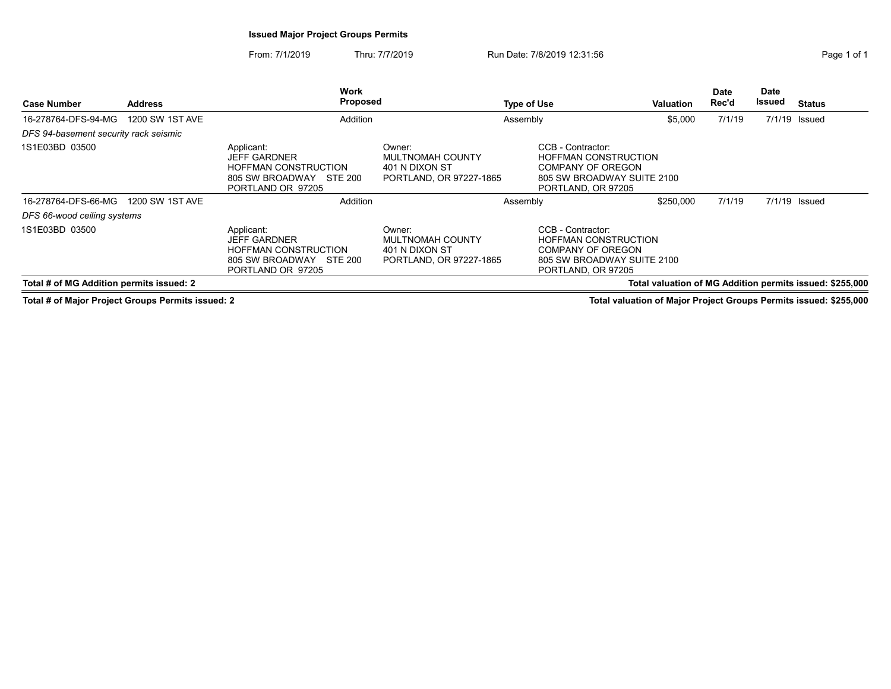# Issued Major Project Groups Permits

From: 7/1/2019 Thru: 7/7/2019 Run Date: 7/8/2019 12:31:56

| Page 1 of 1 |  |  |
|-------------|--|--|
|             |  |  |

| <b>Address</b><br><b>Case Number</b>              |                 | <b>Work</b><br><b>Proposed</b>                                                                                      | <b>Type of Use</b>                                                             |          | <b>Valuation</b>                                                                                                                 | <b>Date</b><br>Rec'd | Date<br>Issued | Status |                                                          |
|---------------------------------------------------|-----------------|---------------------------------------------------------------------------------------------------------------------|--------------------------------------------------------------------------------|----------|----------------------------------------------------------------------------------------------------------------------------------|----------------------|----------------|--------|----------------------------------------------------------|
| 1200 SW 1ST AVE<br>16-278764-DFS-94-MG            |                 |                                                                                                                     | Addition                                                                       |          |                                                                                                                                  | \$5,000              | 7/1/19         |        | $7/1/19$ Issued                                          |
| DFS 94-basement security rack seismic             |                 |                                                                                                                     |                                                                                |          |                                                                                                                                  |                      |                |        |                                                          |
| 1S1E03BD 03500                                    |                 | Applicant:<br><b>JEFF GARDNER</b><br><b>HOFFMAN CONSTRUCTION</b><br>STE 200<br>805 SW BROADWAY<br>PORTLAND OR 97205 | Owner:<br><b>MULTNOMAH COUNTY</b><br>401 N DIXON ST<br>PORTLAND, OR 97227-1865 |          | CCB - Contractor:<br><b>HOFFMAN CONSTRUCTION</b><br><b>COMPANY OF OREGON</b><br>805 SW BROADWAY SUITE 2100<br>PORTLAND, OR 97205 |                      |                |        |                                                          |
| 16-278764-DFS-66-MG                               | 1200 SW 1ST AVE | Addition                                                                                                            |                                                                                | Assembly |                                                                                                                                  | \$250,000            | 7/1/19         |        | $7/1/19$ Issued                                          |
| DFS 66-wood ceiling systems                       |                 |                                                                                                                     |                                                                                |          |                                                                                                                                  |                      |                |        |                                                          |
| 1S1E03BD 03500                                    |                 | Applicant:<br><b>JEFF GARDNER</b><br><b>HOFFMAN CONSTRUCTION</b><br>805 SW BROADWAY<br>STE 200<br>PORTLAND OR 97205 | Owner:<br>MULTNOMAH COUNTY<br>401 N DIXON ST<br>PORTLAND, OR 97227-1865        |          | CCB - Contractor:<br><b>HOFFMAN CONSTRUCTION</b><br>COMPANY OF OREGON<br>805 SW BROADWAY SUITE 2100<br>PORTLAND, OR 97205        |                      |                |        |                                                          |
| Total # of MG Addition permits issued: 2          |                 |                                                                                                                     |                                                                                |          |                                                                                                                                  |                      |                |        | Total valuation of MG Addition permits issued: \$255,000 |
| Total # of Major Project Groups Permits issued: 2 |                 |                                                                                                                     |                                                                                |          | Total valuation of Major Project Groups Permits issued: \$255,000                                                                |                      |                |        |                                                          |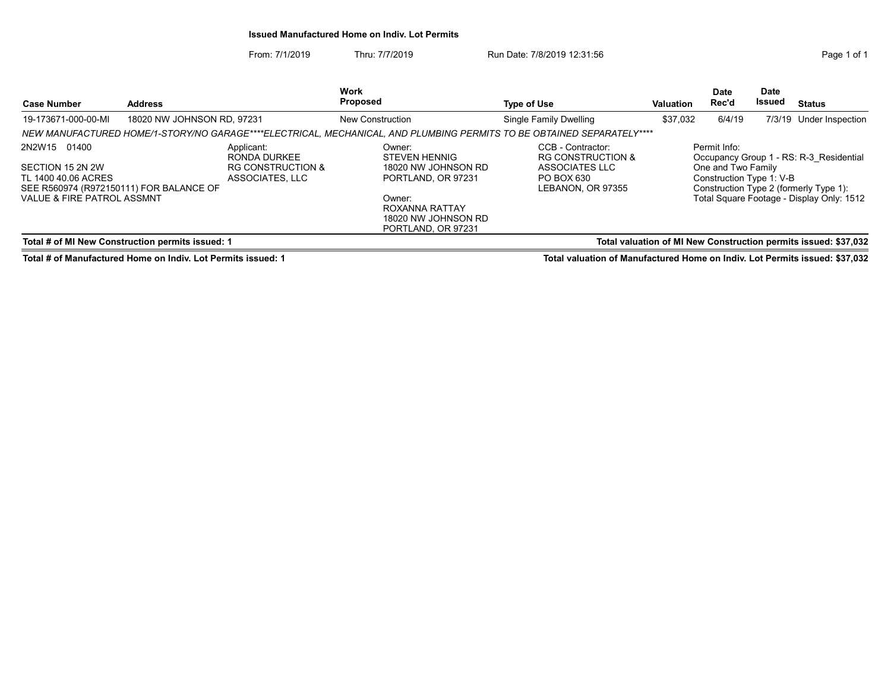#### Issued Manufactured Home on Indiv. Lot Permits

From: 7/1/2019 Thru: 7/7/2019 Run Date: 7/8/2019 12:31:56 From: 7/1/2019 12:31:56

| <b>Address</b><br><b>Case Number</b>                                                                                                        |                                                                                                                     | Work<br><b>Proposed</b>                                                       | <b>Type of Use</b>                                                                                                                                   | Valuation                                                                                              | Date<br>Rec'd      | <b>Date</b><br>Issued                                          | <b>Status</b> |                                                                                                                                |
|---------------------------------------------------------------------------------------------------------------------------------------------|---------------------------------------------------------------------------------------------------------------------|-------------------------------------------------------------------------------|------------------------------------------------------------------------------------------------------------------------------------------------------|--------------------------------------------------------------------------------------------------------|--------------------|----------------------------------------------------------------|---------------|--------------------------------------------------------------------------------------------------------------------------------|
| 19-173671-000-00-MI                                                                                                                         | 18020 NW JOHNSON RD, 97231                                                                                          |                                                                               | <b>New Construction</b><br>NEW MANUFACTURED HOME/1-STORY/NO GARAGE****ELECTRICAL, MECHANICAL, AND PLUMBING PERMITS TO BE OBTAINED SEPARATELY****     | Single Family Dwelling                                                                                 | \$37,032<br>6/4/19 |                                                                |               | 7/3/19 Under Inspection                                                                                                        |
| 2N2W15 01400<br>SECTION 15 2N 2W<br>TL 1400 40.06 ACRES<br>SEE R560974 (R972150111) FOR BALANCE OF<br><b>VALUE &amp; FIRE PATROL ASSMNT</b> |                                                                                                                     | Applicant:<br>RONDA DURKEE<br><b>RG CONSTRUCTION &amp;</b><br>ASSOCIATES, LLC | Owner:<br><b>STEVEN HENNIG</b><br>18020 NW JOHNSON RD<br>PORTLAND, OR 97231<br>Owner:<br>ROXANNA RATTAY<br>18020 NW JOHNSON RD<br>PORTLAND, OR 97231 | CCB - Contractor:<br><b>RG CONSTRUCTION &amp;</b><br>ASSOCIATES LLC<br>PO BOX 630<br>LEBANON, OR 97355 |                    | Permit Info:<br>One and Two Family<br>Construction Type 1: V-B |               | Occupancy Group 1 - RS: R-3 Residential<br>Construction Type 2 (formerly Type 1):<br>Total Square Footage - Display Only: 1512 |
|                                                                                                                                             | Total valuation of MI New Construction permits issued: \$37,032<br>Total # of MI New Construction permits issued: 1 |                                                                               |                                                                                                                                                      |                                                                                                        |                    |                                                                |               |                                                                                                                                |

Total # of Manufactured Home on Indiv. Lot Permits issued: 1 Total valuation of Manufactured Home on Indiv. Lot Permits issued: \$37,032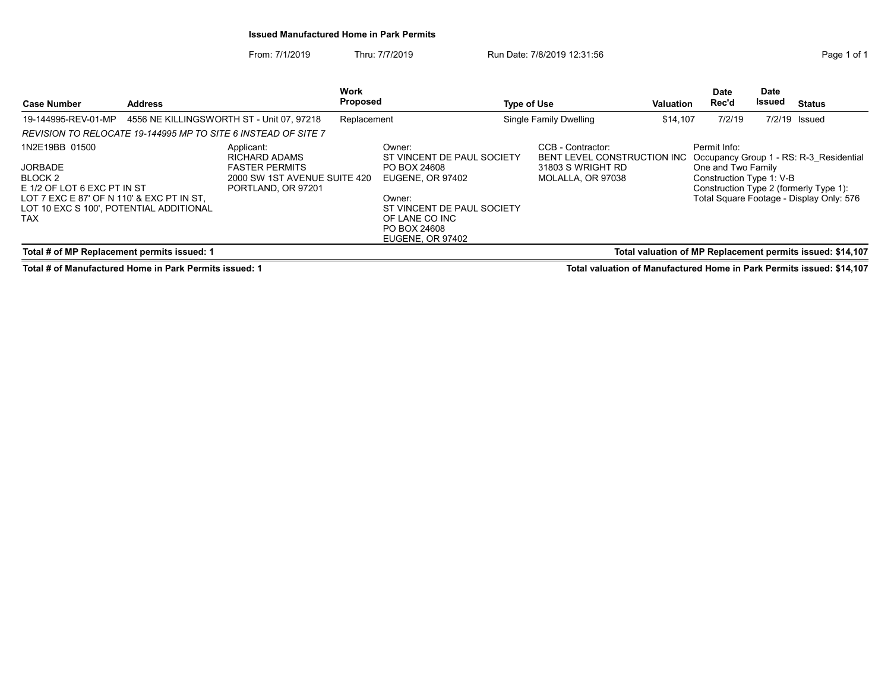#### Issued Manufactured Home in Park Permits

From: 7/1/2019 Thru: 7/7/2019 Run Date: 7/8/2019 12:31:56 From: 7/1/2019 Page 1 of 1

| <b>Case Number</b>                                                                                                                                                        | <b>Address</b> |                                                                                                            | <b>Work</b><br><b>Proposed</b> |                                                                                                                                                    | Type of Use |                                                                                            | <b>Valuation</b> | Date<br>Rec'd                                                  | <b>Date</b><br>Issued | <b>Status</b>                                                                                                                 |
|---------------------------------------------------------------------------------------------------------------------------------------------------------------------------|----------------|------------------------------------------------------------------------------------------------------------|--------------------------------|----------------------------------------------------------------------------------------------------------------------------------------------------|-------------|--------------------------------------------------------------------------------------------|------------------|----------------------------------------------------------------|-----------------------|-------------------------------------------------------------------------------------------------------------------------------|
| 19-144995-REV-01-MP                                                                                                                                                       |                | 4556 NE KILLINGSWORTH ST - Unit 07, 97218                                                                  | Replacement                    |                                                                                                                                                    |             | Single Family Dwelling                                                                     | \$14.107         | 7/2/19                                                         |                       | 7/2/19 Issued                                                                                                                 |
| REVISION TO RELOCATE 19-144995 MP TO SITE 6 INSTEAD OF SITE 7                                                                                                             |                |                                                                                                            |                                |                                                                                                                                                    |             |                                                                                            |                  |                                                                |                       |                                                                                                                               |
| 1N2E19BB 01500<br><b>JORBADE</b><br>BLOCK 2<br>E 1/2 OF LOT 6 EXC PT IN ST<br>LOT 7 EXC E 87' OF N 110' & EXC PT IN ST.<br>LOT 10 EXC S 100', POTENTIAL ADDITIONAL<br>TAX |                | Applicant:<br>RICHARD ADAMS<br><b>FASTER PERMITS</b><br>2000 SW 1ST AVENUE SUITE 420<br>PORTLAND, OR 97201 |                                | Owner:<br>ST VINCENT DE PAUL SOCIETY<br>PO BOX 24608<br>EUGENE, OR 97402<br>Owner:<br>ST VINCENT DE PAUL SOCIETY<br>OF LANE CO INC<br>PO BOX 24608 |             | CCB - Contractor:<br>BENT LEVEL CONSTRUCTION INC<br>31803 S WRIGHT RD<br>MOLALLA, OR 97038 |                  | Permit Info:<br>One and Two Family<br>Construction Type 1: V-B |                       | Occupancy Group 1 - RS: R-3 Residential<br>Construction Type 2 (formerly Type 1):<br>Total Square Footage - Display Only: 576 |
| Total # of MP Replacement permits issued: 1                                                                                                                               |                |                                                                                                            |                                | <b>EUGENE, OR 97402</b>                                                                                                                            |             |                                                                                            |                  |                                                                |                       | Total valuation of MP Replacement permits issued: \$14,107                                                                    |

Total # of Manufactured Home in Park Permits issued: 1 Total valuation of Manufactured Home in Park Permits issued: \$14,107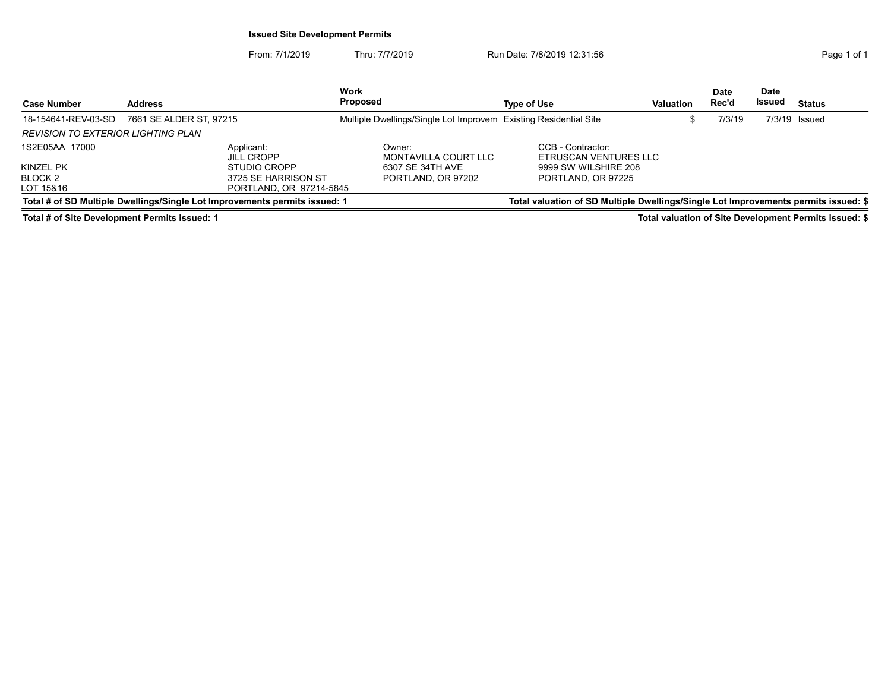### Issued Site Development Permits

From: 7/1/2019 Thru: 7/7/2019 Run Date: 7/8/2019 12:31:56 From: 7/1/2019 Page 1 of 1

|                                    |                                                                            | <b>Work</b>                                                      |                                                                                     |           | Date   | <b>Date</b> |                 |
|------------------------------------|----------------------------------------------------------------------------|------------------------------------------------------------------|-------------------------------------------------------------------------------------|-----------|--------|-------------|-----------------|
| <b>Case Number</b>                 | <b>Address</b>                                                             | <b>Proposed</b>                                                  | Type of Use                                                                         | Valuation | Rec'd  | Issued      | <b>Status</b>   |
| 18-154641-REV-03-SD                | 7661 SE ALDER ST. 97215                                                    | Multiple Dwellings/Single Lot Improvem Existing Residential Site |                                                                                     |           | 7/3/19 |             | $7/3/19$ Issued |
| REVISION TO EXTERIOR LIGHTING PLAN |                                                                            |                                                                  |                                                                                     |           |        |             |                 |
| 1S2E05AA 17000                     | Applicant:<br><b>JILL CROPP</b>                                            | Owner:<br>MONTAVILLA COURT LLC                                   | CCB - Contractor:<br>ETRUSCAN VENTURES LLC                                          |           |        |             |                 |
| KINZEL PK                          | STUDIO CROPP                                                               | 6307 SE 34TH AVE                                                 | 9999 SW WILSHIRE 208                                                                |           |        |             |                 |
| BLOCK 2                            | 3725 SE HARRISON ST                                                        | PORTLAND, OR 97202                                               | PORTLAND, OR 97225                                                                  |           |        |             |                 |
| LOT 15&16                          | PORTLAND, OR 97214-5845                                                    |                                                                  |                                                                                     |           |        |             |                 |
|                                    | Total # of SD Multiple Dwellings/Single Lot Improvements permits issued: 1 |                                                                  | Total valuation of SD Multiple Dwellings/Single Lot Improvements permits issued: \$ |           |        |             |                 |

Total # of Site Development Permits issued: 1 Total valuation of Site Development Permits issued: \$